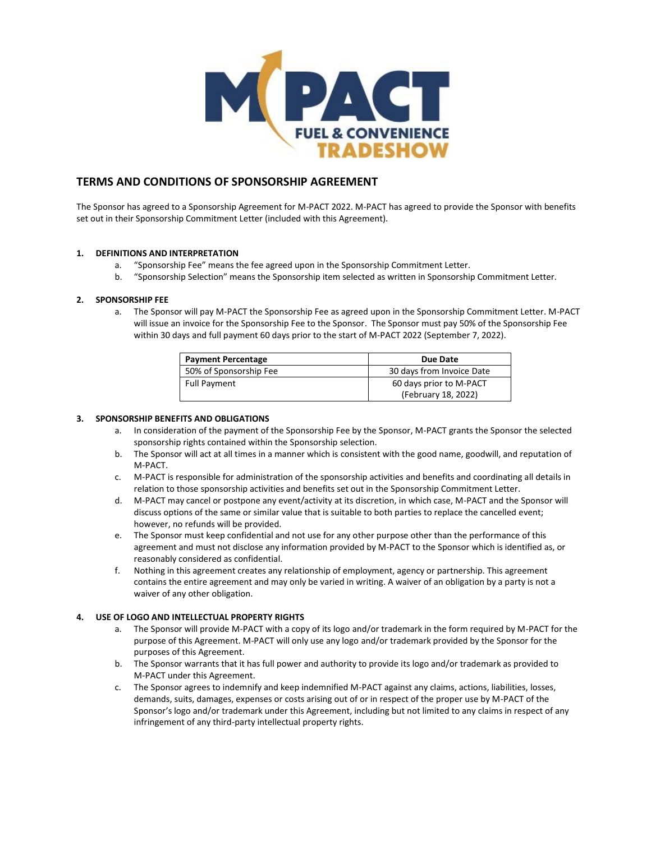

# **TERMS AND CONDITIONS OF SPONSORSHIP AGREEMENT**

The Sponsor has agreed to a Sponsorship Agreement for M-PACT 2022. M-PACT has agreed to provide the Sponsor with benefits set out in their Sponsorship Commitment Letter (included with this Agreement).

### **1. DEFINITIONS AND INTERPRETATION**

- a. "Sponsorship Fee" means the fee agreed upon in the Sponsorship Commitment Letter.
- b. "Sponsorship Selection" means the Sponsorship item selected as written in Sponsorship Commitment Letter.

### **2. SPONSORSHIP FEE**

a. The Sponsor will pay M-PACT the Sponsorship Fee as agreed upon in the Sponsorship Commitment Letter. M-PACT will issue an invoice for the Sponsorship Fee to the Sponsor. The Sponsor must pay 50% of the Sponsorship Fee within 30 days and full payment 60 days prior to the start of M-PACT 2022 (September 7, 2022).

| <b>Payment Percentage</b> | Due Date                  |
|---------------------------|---------------------------|
| 50% of Sponsorship Fee    | 30 days from Invoice Date |
| <b>Full Payment</b>       | 60 days prior to M-PACT   |
|                           | (February 18, 2022)       |

#### **3. SPONSORSHIP BENEFITS AND OBLIGATIONS**

- a. In consideration of the payment of the Sponsorship Fee by the Sponsor, M-PACT grants the Sponsor the selected sponsorship rights contained within the Sponsorship selection.
- b. The Sponsor will act at all times in a manner which is consistent with the good name, goodwill, and reputation of M-PACT.
- c. M-PACT is responsible for administration of the sponsorship activities and benefits and coordinating all details in relation to those sponsorship activities and benefits set out in the Sponsorship Commitment Letter.
- d. M-PACT may cancel or postpone any event/activity at its discretion, in which case, M-PACT and the Sponsor will discuss options of the same or similar value that is suitable to both parties to replace the cancelled event; however, no refunds will be provided.
- e. The Sponsor must keep confidential and not use for any other purpose other than the performance of this agreement and must not disclose any information provided by M-PACT to the Sponsor which is identified as, or reasonably considered as confidential.
- f. Nothing in this agreement creates any relationship of employment, agency or partnership. This agreement contains the entire agreement and may only be varied in writing. A waiver of an obligation by a party is not a waiver of any other obligation.

# **4. USE OF LOGO AND INTELLECTUAL PROPERTY RIGHTS**

- a. The Sponsor will provide M-PACT with a copy of its logo and/or trademark in the form required by M-PACT for the purpose of this Agreement. M-PACT will only use any logo and/or trademark provided by the Sponsor for the purposes of this Agreement.
- b. The Sponsor warrants that it has full power and authority to provide its logo and/or trademark as provided to M-PACT under this Agreement.
- c. The Sponsor agrees to indemnify and keep indemnified M-PACT against any claims, actions, liabilities, losses, demands, suits, damages, expenses or costs arising out of or in respect of the proper use by M-PACT of the Sponsor's logo and/or trademark under this Agreement, including but not limited to any claims in respect of any infringement of any third-party intellectual property rights.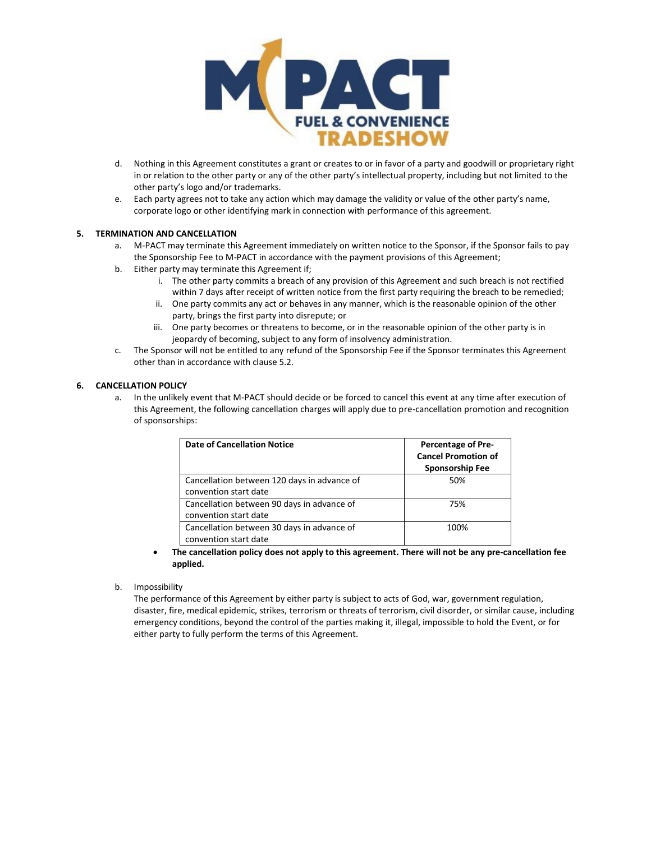

- d. Nothing in this Agreement constitutes a grant or creates to or in favor of a party and goodwill or proprietary right in or relation to the other party or any of the other party's intellectual property, including but not limited to the other party's logo and/or trademarks.
- e. Each party agrees not to take any action which may damage the validity or value of the other party's name, corporate logo or other identifying mark in connection with performance of this agreement.

# **5. TERMINATION AND CANCELLATION**

- a. M-PACT may terminate this Agreement immediately on written notice to the Sponsor, if the Sponsor fails to pay the Sponsorship Fee to M-PACT in accordance with the payment provisions of this Agreement;
- b. Either party may terminate this Agreement if;
	- i. The other party commits a breach of any provision of this Agreement and such breach is not rectified within 7 days after receipt of written notice from the first party requiring the breach to be remedied;
	- ii. One party commits any act or behaves in any manner, which is the reasonable opinion of the other party, brings the first party into disrepute; or
	- iii. One party becomes or threatens to become, or in the reasonable opinion of the other party is in jeopardy of becoming, subject to any form of insolvency administration.
- c. The Sponsor will not be entitled to any refund of the Sponsorship Fee if the Sponsor terminates this Agreement other than in accordance with clause 5.2.

# **6. CANCELLATION POLICY**

a. In the unlikely event that M-PACT should decide or be forced to cancel this event at any time after execution of this Agreement, the following cancellation charges will apply due to pre-cancellation promotion and recognition of sponsorships:

| <b>Date of Cancellation Notice</b>                                   | <b>Percentage of Pre-</b><br><b>Cancel Promotion of</b><br><b>Sponsorship Fee</b> |
|----------------------------------------------------------------------|-----------------------------------------------------------------------------------|
| Cancellation between 120 days in advance of<br>convention start date | 50%                                                                               |
| Cancellation between 90 days in advance of<br>convention start date  | 75%                                                                               |
| Cancellation between 30 days in advance of<br>convention start date  | 100%                                                                              |

- **The cancellation policy does not apply to this agreement. There will not be any pre-cancellation fee applied.**
- b. Impossibility

The performance of this Agreement by either party is subject to acts of God, war, government regulation, disaster, fire, medical epidemic, strikes, terrorism or threats of terrorism, civil disorder, or similar cause, including emergency conditions, beyond the control of the parties making it, illegal, impossible to hold the Event, or for either party to fully perform the terms of this Agreement.